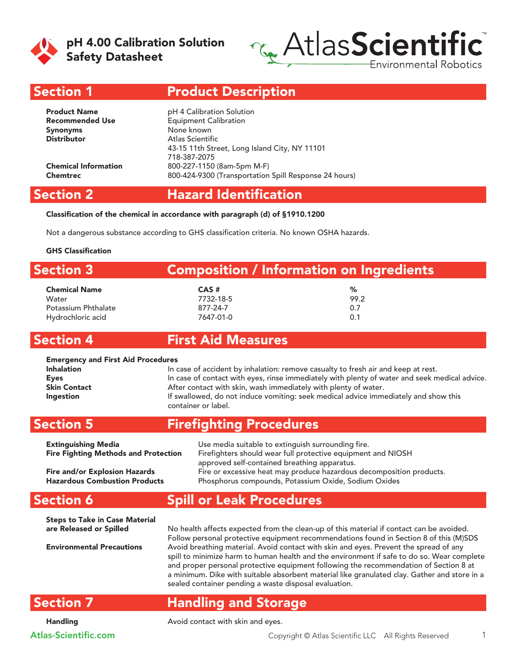

pH 4.00 Calibration Solution Safety Datasheet



Section 1

# Product Description

| <b>Product Name</b>         | pH 4 Calibration Solution                             |
|-----------------------------|-------------------------------------------------------|
| <b>Recommended Use</b>      | <b>Equipment Calibration</b>                          |
| <b>Synonyms</b>             | None known                                            |
| <b>Distributor</b>          | Atlas Scientific                                      |
|                             | 43-15 11th Street, Long Island City, NY 11101         |
|                             | 718-387-2075                                          |
| <b>Chemical Information</b> | 800-227-1150 (8am-5pm M-F)                            |
| <b>Chemtrec</b>             | 800-424-9300 (Transportation Spill Response 24 hours) |
|                             |                                                       |

#### Section 2

# Hazard Identification

Classification of the chemical in accordance with paragraph (d) of §1910.1200

Not a dangerous substance according to GHS classification criteria. No known OSHA hazards.

#### GHS Classification

| <b>Section 3</b>     | Composition / Information on Ingredients |      |  |
|----------------------|------------------------------------------|------|--|
| <b>Chemical Name</b> | $CAS$ #                                  | ℅    |  |
| Water                | 7732-18-5                                | 99.2 |  |
| Potassium Phthalate  | 877-24-7                                 | 0.7  |  |
| Hydrochloric acid    | 7647-01-0                                | 0.1  |  |

### Section 4

#### First Aid Measures

#### Emergency and First Aid Procedures

| <b>Inhalation</b>   | In case of accident by inhalation: remove casualty to fresh air and keep at rest.             |  |  |
|---------------------|-----------------------------------------------------------------------------------------------|--|--|
| <b>Eyes</b>         | In case of contact with eyes, rinse immediately with plenty of water and seek medical advice. |  |  |
| <b>Skin Contact</b> | After contact with skin, wash immediately with plenty of water.                               |  |  |
| <b>Ingestion</b>    | If swallowed, do not induce vomiting: seek medical advice immediately and show this           |  |  |
|                     | container or label.                                                                           |  |  |

#### Section 5 Firefighting Procedures

| <b>Extinguishing Media</b>                                                   | Use media suitable to extinguish surrounding fire.                                                                                                                           |
|------------------------------------------------------------------------------|------------------------------------------------------------------------------------------------------------------------------------------------------------------------------|
| <b>Fire Fighting Methods and Protection</b>                                  | Firefighters should wear full protective equipment and NIOSH                                                                                                                 |
| <b>Fire and/or Explosion Hazards</b><br><b>Hazardous Combustion Products</b> | approved self-contained breathing apparatus.<br>Fire or excessive heat may produce hazardous decomposition products.<br>Phosphorus compounds, Potassium Oxide, Sodium Oxides |

# Spill or Leak Procedures

| <b>Steps to Take in Case Material</b> |                                                                                                                                                                                     |
|---------------------------------------|-------------------------------------------------------------------------------------------------------------------------------------------------------------------------------------|
| are Released or Spilled               | No health affects expected from the clean-up of this material if contact can be avoided.                                                                                            |
|                                       | Follow personal protective equipment recommendations found in Section 8 of this (M)SDS                                                                                              |
| <b>Environmental Precautions</b>      | Avoid breathing material. Avoid contact with skin and eyes. Prevent the spread of any<br>spill to minimize harm to human health and the environment if safe to do so. Wear complete |
|                                       | and proper personal protective equipment following the recommendation of Section 8 at                                                                                               |
|                                       | a minimum. Dike with suitable absorbent material like granulated clay. Gather and store in a                                                                                        |
|                                       | sealed container pending a waste disposal evaluation.                                                                                                                               |

### Section 7

Section 6

## Handling and Storage

Handling **Avoid contact with skin and eyes.**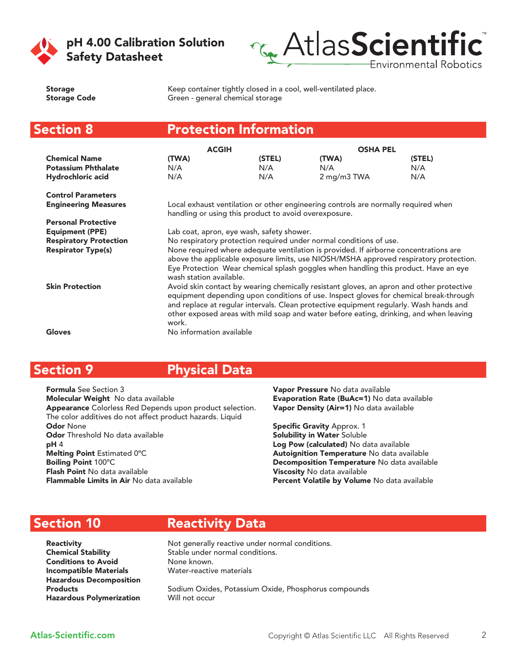



Storage **Keep container tightly closed in a cool**, well-ventilated place. Storage Code Green - general chemical storage

#### Section 8 Protection Information

|                               | <b>ACGIH</b>             |                                                       | <b>OSHA PEL</b>                                                                                                                                                                                                                                                                                                                                                       |        |
|-------------------------------|--------------------------|-------------------------------------------------------|-----------------------------------------------------------------------------------------------------------------------------------------------------------------------------------------------------------------------------------------------------------------------------------------------------------------------------------------------------------------------|--------|
| <b>Chemical Name</b>          | (TWA)                    | (STEL)                                                | (TWA)                                                                                                                                                                                                                                                                                                                                                                 | (STEL) |
| <b>Potassium Phthalate</b>    | N/A                      | N/A                                                   | N/A                                                                                                                                                                                                                                                                                                                                                                   | N/A    |
| Hydrochloric acid             | N/A                      | N/A                                                   | 2 mg/m3 TWA                                                                                                                                                                                                                                                                                                                                                           | N/A    |
| <b>Control Parameters</b>     |                          |                                                       |                                                                                                                                                                                                                                                                                                                                                                       |        |
| <b>Engineering Measures</b>   |                          | handling or using this product to avoid overexposure. | Local exhaust ventilation or other engineering controls are normally required when                                                                                                                                                                                                                                                                                    |        |
| <b>Personal Protective</b>    |                          |                                                       |                                                                                                                                                                                                                                                                                                                                                                       |        |
| <b>Equipment (PPE)</b>        |                          | Lab coat, apron, eye wash, safety shower.             |                                                                                                                                                                                                                                                                                                                                                                       |        |
| <b>Respiratory Protection</b> |                          |                                                       | No respiratory protection required under normal conditions of use.                                                                                                                                                                                                                                                                                                    |        |
| <b>Respirator Type(s)</b>     | wash station available.  |                                                       | None required where adequate ventilation is provided. If airborne concentrations are<br>above the applicable exposure limits, use NIOSH/MSHA approved respiratory protection.<br>Eye Protection Wear chemical splash goggles when handling this product. Have an eye                                                                                                  |        |
| <b>Skin Protection</b>        | work.                    |                                                       | Avoid skin contact by wearing chemically resistant gloves, an apron and other protective<br>equipment depending upon conditions of use. Inspect gloves for chemical break-through<br>and replace at regular intervals. Clean protective equipment regularly. Wash hands and<br>other exposed areas with mild soap and water before eating, drinking, and when leaving |        |
| <b>Gloves</b>                 | No information available |                                                       |                                                                                                                                                                                                                                                                                                                                                                       |        |

#### Section 9 Physical Data

Formula See Section 3 Molecular Weight No data available Appearance Colorless Red Depends upon product selection. The color additives do not affect product hazards. Liquid Odor None Odor Threshold No data available pH 4 Melting Point Estimated 0ºC Boiling Point 100ºC Flash Point No data available Flammable Limits in Air No data available

Vapor Pressure No data available Evaporation Rate (BuAc=1) No data available Vapor Density (Air=1) No data available

Specific Gravity Approx. 1 Solubility in Water Soluble Log Pow (calculated) No data available Autoignition Temperature No data available Decomposition Temperature No data available **Viscosity** No data available Percent Volatile by Volume No data available

### Section 10

Reactivity Data **Reactivity Not generally reactive under normal conditions.** Chemical Stability Stable under normal conditions.

Conditions to Avoid None known. Incompatible Materials Water-reactive materials Hazardous Decomposition Hazardous Polymerization Will not occur

Products **Sodium Oxides, Potassium Oxide, Phosphorus compounds**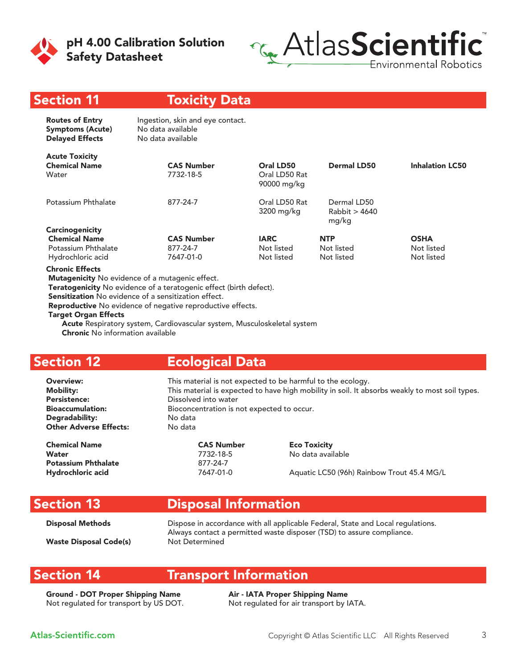

pH 4.00 Calibration Solution Safety Datasheet



#### Section 11

#### Toxicity Data

| <b>Routes of Entry</b><br><b>Symptoms (Acute)</b><br><b>Delayed Effects</b> | Ingestion, skin and eye contact.<br>No data available<br>No data available |                                           |                                       |                        |
|-----------------------------------------------------------------------------|----------------------------------------------------------------------------|-------------------------------------------|---------------------------------------|------------------------|
| <b>Acute Toxicity</b><br><b>Chemical Name</b><br>Water                      | <b>CAS Number</b><br>7732-18-5                                             | Oral LD50<br>Oral LD50 Rat<br>90000 mg/kg | <b>Dermal LD50</b>                    | <b>Inhalation LC50</b> |
| Potassium Phthalate                                                         | 877-24-7                                                                   | Oral LD50 Rat<br>3200 mg/kg               | Dermal LD50<br>Rabbit > 4640<br>mg/kg |                        |
| <b>Carcinogenicity</b>                                                      |                                                                            |                                           |                                       |                        |
| <b>Chemical Name</b>                                                        | <b>CAS Number</b>                                                          | <b>IARC</b>                               | <b>NTP</b>                            | <b>OSHA</b>            |
| Potassium Phthalate                                                         | 877-24-7                                                                   | Not listed                                | Not listed                            | Not listed             |
| Hydrochloric acid                                                           | 7647-01-0                                                                  | Not listed                                | Not listed                            | Not listed             |
|                                                                             |                                                                            |                                           |                                       |                        |

Chronic Effects

Mutagenicity No evidence of a mutagenic effect.

Teratogenicity No evidence of a teratogenic effect (birth defect).

Sensitization No evidence of a sensitization effect.

Reproductive No evidence of negative reproductive effects.

#### Target Organ Effects

 Acute Respiratory system, Cardiovascular system, Musculoskeletal system Chronic No information available

### Section 12

#### Ecological Data

**Overview:** This material is not expected to be harmful to the ecology. Mobility: This material is expected to have high mobility in soil. It absorbs weakly to most soil types. Persistence: Dissolved into water Bioaccumulation: Bioconcentration is not expected to occur. Degradability: No data **Other Adverse Effects:** 

CAS Number **Example 2** CAS Number **Example 2** Eco Toxicity Water 7732-18-5 No data available Potassium Phthalate 877-24-7

Hydrochloric acid **Acid** 7647-01-0 Aquatic LC50 (96h) Rainbow Trout 45.4 MG/L

### Section 13

### Disposal Information

Disposal Methods **Dispose in accordance with all applicable Federal**, State and Local regulations. Always contact a permitted waste disposer (TSD) to assure compliance. Waste Disposal Code(s) Not Determined

### Section 14

### Transport Information

Ground - DOT Proper Shipping Name Air - IATA Proper Shipping Name Not regulated for transport by US DOT. Not regulated for air transport by IATA.